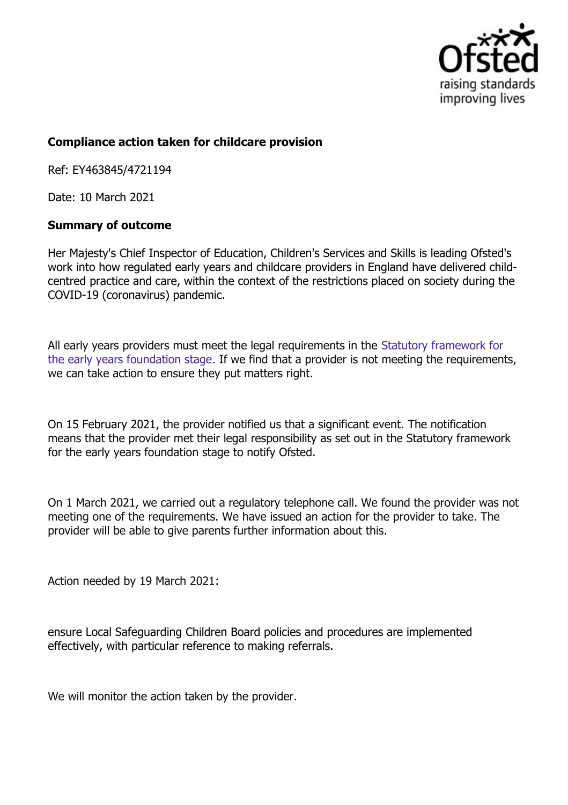

## **Compliance action taken for childcare provision**

Ref: EY463845/4721194

Date: 10 March 2021

## **Summary of outcome**

Her Majesty's Chief Inspector of Education, Children's Services and Skills is leading Ofsted's work into how regulated early years and childcare providers in England have delivered childcentred practice and care, within the context of the restrictions placed on society during the COVID-19 (coronavirus) pandemic.

All early years providers must meet the legal requirements in the Statutory framework for the early years foundation stage. If we find that a provider is not meeting the requirements, we can take action to ensure they put matters right.

On 15 February 2021, the provider notified us that a significant event. The notification means that the provider met their legal responsibility as set out in the Statutory framework for the early years foundation stage to notify Ofsted.

On 1 March 2021, we carried out a regulatory telephone call. We found the provider was not meeting one of the requirements. We have issued an action for the provider to take. The provider will be able to give parents further information about this.

Action needed by 19 March 2021:

ensure Local Safeguarding Children Board policies and procedures are implemented effectively, with particular reference to making referrals.

We will monitor the action taken by the provider.